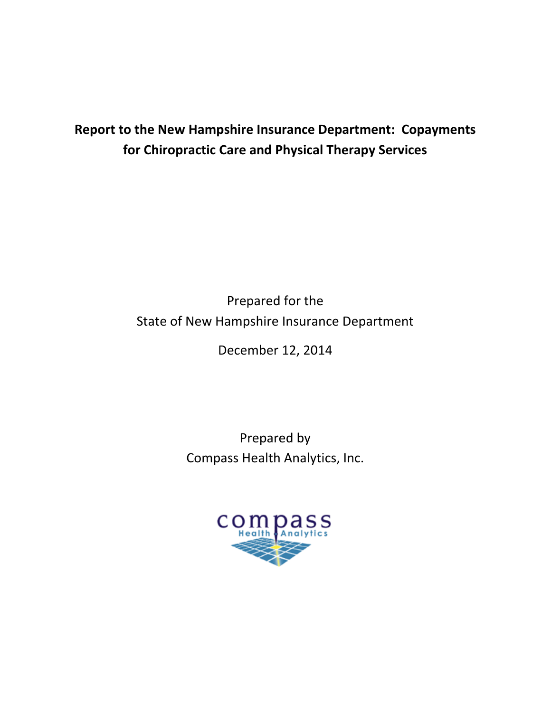# **Report to the New Hampshire Insurance Department: Copayments for Chiropractic Care and Physical Therapy Services**

Prepared for the State of New Hampshire Insurance Department

December 12, 2014

Prepared by Compass Health Analytics, Inc.

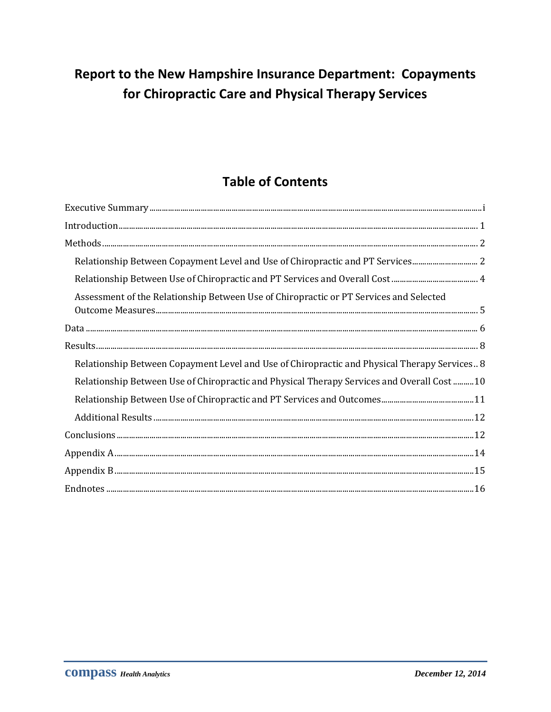# Report to the New Hampshire Insurance Department: Copayments for Chiropractic Care and Physical Therapy Services

# **Table of Contents**

| Relationship Between Copayment Level and Use of Chiropractic and PT Services 2               |
|----------------------------------------------------------------------------------------------|
|                                                                                              |
| Assessment of the Relationship Between Use of Chiropractic or PT Services and Selected       |
|                                                                                              |
|                                                                                              |
| Relationship Between Copayment Level and Use of Chiropractic and Physical Therapy Services 8 |
| Relationship Between Use of Chiropractic and Physical Therapy Services and Overall Cost 10   |
|                                                                                              |
|                                                                                              |
|                                                                                              |
|                                                                                              |
|                                                                                              |
|                                                                                              |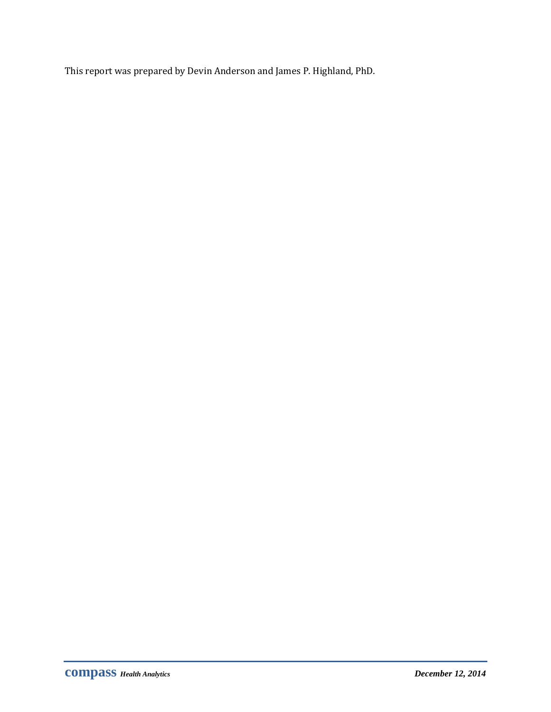This report was prepared by Devin Anderson and James P. Highland, PhD.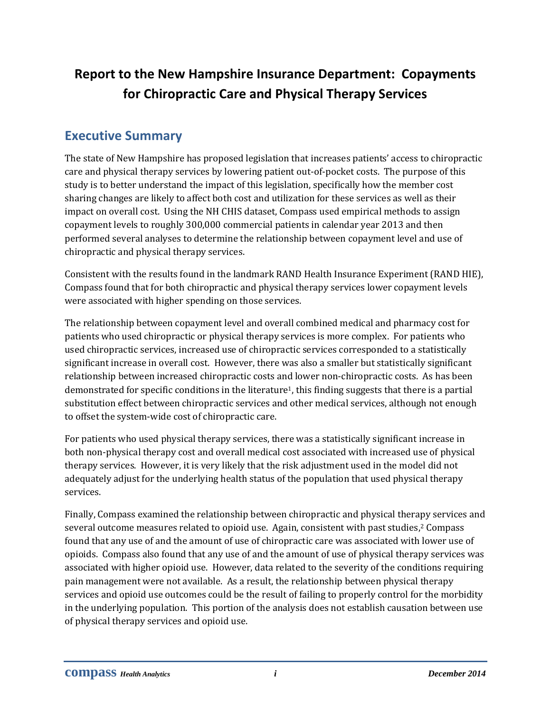# **Report to the New Hampshire Insurance Department: Copayments for Chiropractic Care and Physical Therapy Services**

## <span id="page-3-0"></span>**Executive Summary**

The state of New Hampshire has proposed legislation that increases patients' access to chiropractic care and physical therapy services by lowering patient out-of-pocket costs. The purpose of this study is to better understand the impact of this legislation, specifically how the member cost sharing changes are likely to affect both cost and utilization for these services as well as their impact on overall cost. Using the NH CHIS dataset, Compass used empirical methods to assign copayment levels to roughly 300,000 commercial patients in calendar year 2013 and then performed several analyses to determine the relationship between copayment level and use of chiropractic and physical therapy services.

Consistent with the results found in the landmark RAND Health Insurance Experiment (RAND HIE), Compass found that for both chiropractic and physical therapy services lower copayment levels were associated with higher spending on those services.

The relationship between copayment level and overall combined medical and pharmacy cost for patients who used chiropractic or physical therapy services is more complex. For patients who used chiropractic services, increased use of chiropractic services corresponded to a statistically significant increase in overall cost. However, there was also a smaller but statistically significant relationship between increased chiropractic costs and lower non-chiropractic costs. As has been demonstrated for specific conditions in the literature<sup>1</sup>, this finding suggests that there is a partial substitution effect between chiropractic services and other medical services, although not enough to offset the system-wide cost of chiropractic care.

For patients who used physical therapy services, there was a statistically significant increase in both non-physical therapy cost and overall medical cost associated with increased use of physical therapy services. However, it is very likely that the risk adjustment used in the model did not adequately adjust for the underlying health status of the population that used physical therapy services.

Finally, Compass examined the relationship between chiropractic and physical therapy services and several outcome measures related to opioid use. Again, consistent with past studies, <sup>2</sup> Compass found that any use of and the amount of use of chiropractic care was associated with lower use of opioids. Compass also found that any use of and the amount of use of physical therapy services was associated with higher opioid use. However, data related to the severity of the conditions requiring pain management were not available. As a result, the relationship between physical therapy services and opioid use outcomes could be the result of failing to properly control for the morbidity in the underlying population. This portion of the analysis does not establish causation between use of physical therapy services and opioid use.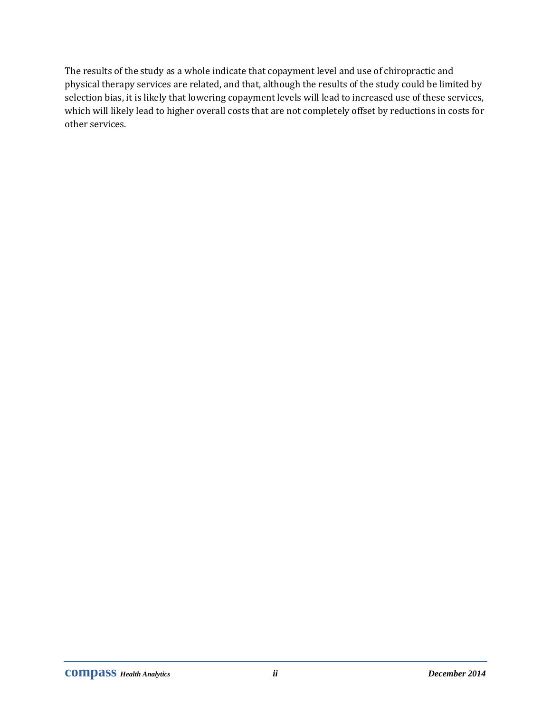The results of the study as a whole indicate that copayment level and use of chiropractic and physical therapy services are related, and that, although the results of the study could be limited by selection bias, it is likely that lowering copayment levels will lead to increased use of these services, which will likely lead to higher overall costs that are not completely offset by reductions in costs for other services.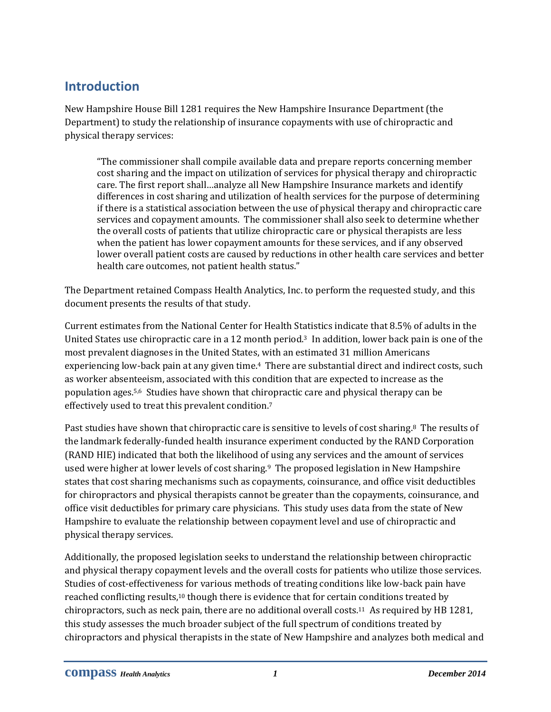# <span id="page-5-0"></span>**Introduction**

New Hampshire House Bill 1281 requires the New Hampshire Insurance Department (the Department) to study the relationship of insurance copayments with use of chiropractic and physical therapy services:

"The commissioner shall compile available data and prepare reports concerning member cost sharing and the impact on utilization of services for physical therapy and chiropractic care. The first report shall…analyze all New Hampshire Insurance markets and identify differences in cost sharing and utilization of health services for the purpose of determining if there is a statistical association between the use of physical therapy and chiropractic care services and copayment amounts. The commissioner shall also seek to determine whether the overall costs of patients that utilize chiropractic care or physical therapists are less when the patient has lower copayment amounts for these services, and if any observed lower overall patient costs are caused by reductions in other health care services and better health care outcomes, not patient health status."

The Department retained Compass Health Analytics, Inc. to perform the requested study, and this document presents the results of that study.

Current estimates from the National Center for Health Statistics indicate that 8.5% of adults in the United States use chiropractic care in a 12 month period. <sup>3</sup> In addition, lower back pain is one of the most prevalent diagnoses in the United States, with an estimated 31 million Americans experiencing low-back pain at any given time.<sup>4</sup> There are substantial direct and indirect costs, such as worker absenteeism, associated with this condition that are expected to increase as the population ages.5,6 Studies have shown that chiropractic care and physical therapy can be effectively used to treat this prevalent condition.<sup>7</sup>

Past studies have shown that chiropractic care is sensitive to levels of cost sharing.<sup>8</sup> The results of the landmark federally-funded health insurance experiment conducted by the RAND Corporation (RAND HIE) indicated that both the likelihood of using any services and the amount of services used were higher at lower levels of cost sharing.9 The proposed legislation in New Hampshire states that cost sharing mechanisms such as copayments, coinsurance, and office visit deductibles for chiropractors and physical therapists cannot be greater than the copayments, coinsurance, and office visit deductibles for primary care physicians. This study uses data from the state of New Hampshire to evaluate the relationship between copayment level and use of chiropractic and physical therapy services.

Additionally, the proposed legislation seeks to understand the relationship between chiropractic and physical therapy copayment levels and the overall costs for patients who utilize those services. Studies of cost-effectiveness for various methods of treating conditions like low-back pain have reached conflicting results,<sup>10</sup> though there is evidence that for certain conditions treated by chiropractors, such as neck pain, there are no additional overall costs. <sup>11</sup> As required by HB 1281, this study assesses the much broader subject of the full spectrum of conditions treated by chiropractors and physical therapists in the state of New Hampshire and analyzes both medical and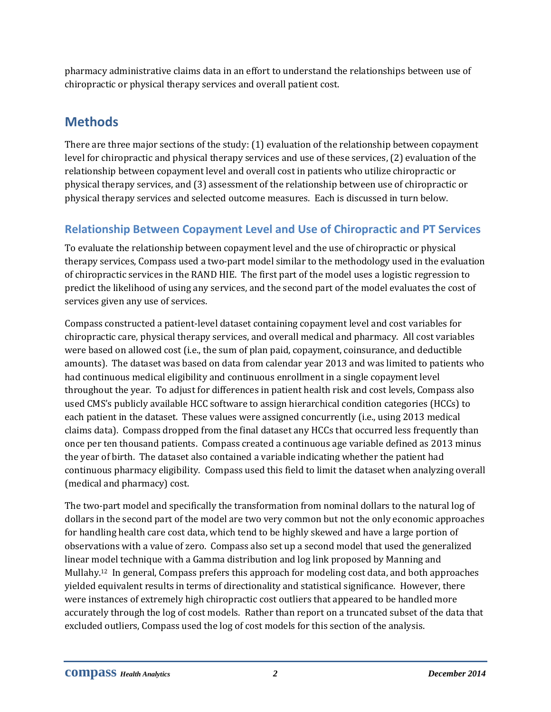pharmacy administrative claims data in an effort to understand the relationships between use of chiropractic or physical therapy services and overall patient cost.

# <span id="page-6-0"></span>**Methods**

There are three major sections of the study: (1) evaluation of the relationship between copayment level for chiropractic and physical therapy services and use of these services, (2) evaluation of the relationship between copayment level and overall cost in patients who utilize chiropractic or physical therapy services, and (3) assessment of the relationship between use of chiropractic or physical therapy services and selected outcome measures. Each is discussed in turn below.

## <span id="page-6-1"></span>**Relationship Between Copayment Level and Use of Chiropractic and PT Services**

To evaluate the relationship between copayment level and the use of chiropractic or physical therapy services, Compass used a two-part model similar to the methodology used in the evaluation of chiropractic services in the RAND HIE. The first part of the model uses a logistic regression to predict the likelihood of using any services, and the second part of the model evaluates the cost of services given any use of services.

Compass constructed a patient-level dataset containing copayment level and cost variables for chiropractic care, physical therapy services, and overall medical and pharmacy. All cost variables were based on allowed cost (i.e., the sum of plan paid, copayment, coinsurance, and deductible amounts). The dataset was based on data from calendar year 2013 and was limited to patients who had continuous medical eligibility and continuous enrollment in a single copayment level throughout the year. To adjust for differences in patient health risk and cost levels, Compass also used CMS's publicly available HCC software to assign hierarchical condition categories (HCCs) to each patient in the dataset. These values were assigned concurrently (i.e., using 2013 medical claims data). Compass dropped from the final dataset any HCCs that occurred less frequently than once per ten thousand patients. Compass created a continuous age variable defined as 2013 minus the year of birth. The dataset also contained a variable indicating whether the patient had continuous pharmacy eligibility. Compass used this field to limit the dataset when analyzing overall (medical and pharmacy) cost.

The two-part model and specifically the transformation from nominal dollars to the natural log of dollars in the second part of the model are two very common but not the only economic approaches for handling health care cost data, which tend to be highly skewed and have a large portion of observations with a value of zero. Compass also set up a second model that used the generalized linear model technique with a Gamma distribution and log link proposed by Manning and Mullahy. <sup>12</sup> In general, Compass prefers this approach for modeling cost data, and both approaches yielded equivalent results in terms of directionality and statistical significance. However, there were instances of extremely high chiropractic cost outliers that appeared to be handled more accurately through the log of cost models. Rather than report on a truncated subset of the data that excluded outliers, Compass used the log of cost models for this section of the analysis.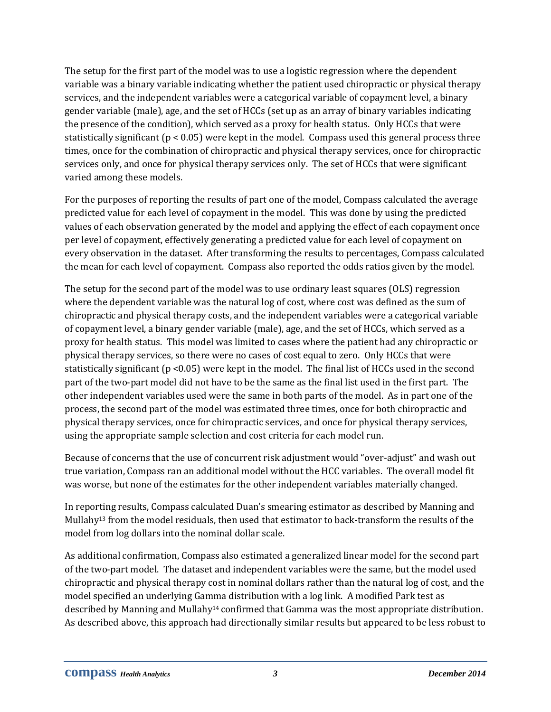The setup for the first part of the model was to use a logistic regression where the dependent variable was a binary variable indicating whether the patient used chiropractic or physical therapy services, and the independent variables were a categorical variable of copayment level, a binary gender variable (male), age, and the set of HCCs (set up as an array of binary variables indicating the presence of the condition), which served as a proxy for health status. Only HCCs that were statistically significant ( $p < 0.05$ ) were kept in the model. Compass used this general process three times, once for the combination of chiropractic and physical therapy services, once for chiropractic services only, and once for physical therapy services only. The set of HCCs that were significant varied among these models.

For the purposes of reporting the results of part one of the model, Compass calculated the average predicted value for each level of copayment in the model. This was done by using the predicted values of each observation generated by the model and applying the effect of each copayment once per level of copayment, effectively generating a predicted value for each level of copayment on every observation in the dataset. After transforming the results to percentages, Compass calculated the mean for each level of copayment. Compass also reported the odds ratios given by the model.

The setup for the second part of the model was to use ordinary least squares (OLS) regression where the dependent variable was the natural log of cost, where cost was defined as the sum of chiropractic and physical therapy costs, and the independent variables were a categorical variable of copayment level, a binary gender variable (male), age, and the set of HCCs, which served as a proxy for health status. This model was limited to cases where the patient had any chiropractic or physical therapy services, so there were no cases of cost equal to zero. Only HCCs that were statistically significant (p <0.05) were kept in the model. The final list of HCCs used in the second part of the two-part model did not have to be the same as the final list used in the first part. The other independent variables used were the same in both parts of the model. As in part one of the process, the second part of the model was estimated three times, once for both chiropractic and physical therapy services, once for chiropractic services, and once for physical therapy services, using the appropriate sample selection and cost criteria for each model run.

Because of concerns that the use of concurrent risk adjustment would "over-adjust" and wash out true variation, Compass ran an additional model without the HCC variables. The overall model fit was worse, but none of the estimates for the other independent variables materially changed.

In reporting results, Compass calculated Duan's smearing estimator as described by Manning and Mullah $v^{13}$  from the model residuals, then used that estimator to back-transform the results of the model from log dollars into the nominal dollar scale.

As additional confirmation, Compass also estimated a generalized linear model for the second part of the two-part model. The dataset and independent variables were the same, but the model used chiropractic and physical therapy cost in nominal dollars rather than the natural log of cost, and the model specified an underlying Gamma distribution with a log link. A modified Park test as described by Manning and Mullahy<sup>14</sup> confirmed that Gamma was the most appropriate distribution. As described above, this approach had directionally similar results but appeared to be less robust to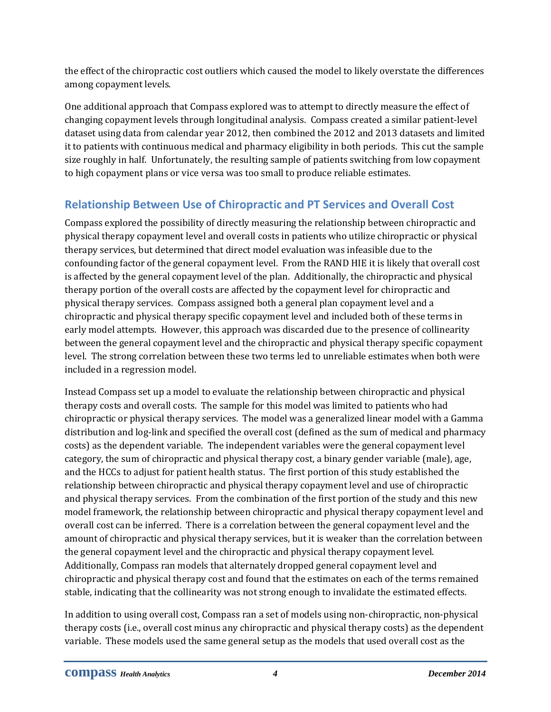the effect of the chiropractic cost outliers which caused the model to likely overstate the differences among copayment levels.

One additional approach that Compass explored was to attempt to directly measure the effect of changing copayment levels through longitudinal analysis. Compass created a similar patient-level dataset using data from calendar year 2012, then combined the 2012 and 2013 datasets and limited it to patients with continuous medical and pharmacy eligibility in both periods. This cut the sample size roughly in half. Unfortunately, the resulting sample of patients switching from low copayment to high copayment plans or vice versa was too small to produce reliable estimates.

### <span id="page-8-0"></span>**Relationship Between Use of Chiropractic and PT Services and Overall Cost**

Compass explored the possibility of directly measuring the relationship between chiropractic and physical therapy copayment level and overall costs in patients who utilize chiropractic or physical therapy services, but determined that direct model evaluation was infeasible due to the confounding factor of the general copayment level. From the RAND HIE it is likely that overall cost is affected by the general copayment level of the plan. Additionally, the chiropractic and physical therapy portion of the overall costs are affected by the copayment level for chiropractic and physical therapy services. Compass assigned both a general plan copayment level and a chiropractic and physical therapy specific copayment level and included both of these terms in early model attempts. However, this approach was discarded due to the presence of collinearity between the general copayment level and the chiropractic and physical therapy specific copayment level. The strong correlation between these two terms led to unreliable estimates when both were included in a regression model.

Instead Compass set up a model to evaluate the relationship between chiropractic and physical therapy costs and overall costs. The sample for this model was limited to patients who had chiropractic or physical therapy services. The model was a generalized linear model with a Gamma distribution and log-link and specified the overall cost (defined as the sum of medical and pharmacy costs) as the dependent variable. The independent variables were the general copayment level category, the sum of chiropractic and physical therapy cost, a binary gender variable (male), age, and the HCCs to adjust for patient health status. The first portion of this study established the relationship between chiropractic and physical therapy copayment level and use of chiropractic and physical therapy services. From the combination of the first portion of the study and this new model framework, the relationship between chiropractic and physical therapy copayment level and overall cost can be inferred. There is a correlation between the general copayment level and the amount of chiropractic and physical therapy services, but it is weaker than the correlation between the general copayment level and the chiropractic and physical therapy copayment level. Additionally, Compass ran models that alternately dropped general copayment level and chiropractic and physical therapy cost and found that the estimates on each of the terms remained stable, indicating that the collinearity was not strong enough to invalidate the estimated effects.

In addition to using overall cost, Compass ran a set of models using non-chiropractic, non-physical therapy costs (i.e., overall cost minus any chiropractic and physical therapy costs) as the dependent variable. These models used the same general setup as the models that used overall cost as the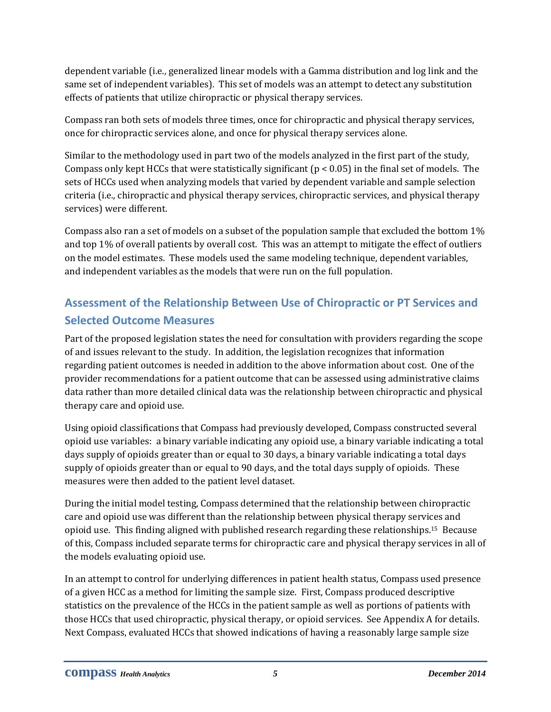dependent variable (i.e., generalized linear models with a Gamma distribution and log link and the same set of independent variables). This set of models was an attempt to detect any substitution effects of patients that utilize chiropractic or physical therapy services.

Compass ran both sets of models three times, once for chiropractic and physical therapy services, once for chiropractic services alone, and once for physical therapy services alone.

Similar to the methodology used in part two of the models analyzed in the first part of the study, Compass only kept HCCs that were statistically significant ( $p < 0.05$ ) in the final set of models. The sets of HCCs used when analyzing models that varied by dependent variable and sample selection criteria (i.e., chiropractic and physical therapy services, chiropractic services, and physical therapy services) were different.

Compass also ran a set of models on a subset of the population sample that excluded the bottom 1% and top 1% of overall patients by overall cost. This was an attempt to mitigate the effect of outliers on the model estimates. These models used the same modeling technique, dependent variables, and independent variables as the models that were run on the full population.

# <span id="page-9-0"></span>**Assessment of the Relationship Between Use of Chiropractic or PT Services and Selected Outcome Measures**

Part of the proposed legislation states the need for consultation with providers regarding the scope of and issues relevant to the study. In addition, the legislation recognizes that information regarding patient outcomes is needed in addition to the above information about cost. One of the provider recommendations for a patient outcome that can be assessed using administrative claims data rather than more detailed clinical data was the relationship between chiropractic and physical therapy care and opioid use.

Using opioid classifications that Compass had previously developed, Compass constructed several opioid use variables: a binary variable indicating any opioid use, a binary variable indicating a total days supply of opioids greater than or equal to 30 days, a binary variable indicating a total days supply of opioids greater than or equal to 90 days, and the total days supply of opioids. These measures were then added to the patient level dataset.

During the initial model testing, Compass determined that the relationship between chiropractic care and opioid use was different than the relationship between physical therapy services and opioid use. This finding aligned with published research regarding these relationships.15 Because of this, Compass included separate terms for chiropractic care and physical therapy services in all of the models evaluating opioid use.

In an attempt to control for underlying differences in patient health status, Compass used presence of a given HCC as a method for limiting the sample size. First, Compass produced descriptive statistics on the prevalence of the HCCs in the patient sample as well as portions of patients with those HCCs that used chiropractic, physical therapy, or opioid services. See Appendix A for details. Next Compass, evaluated HCCs that showed indications of having a reasonably large sample size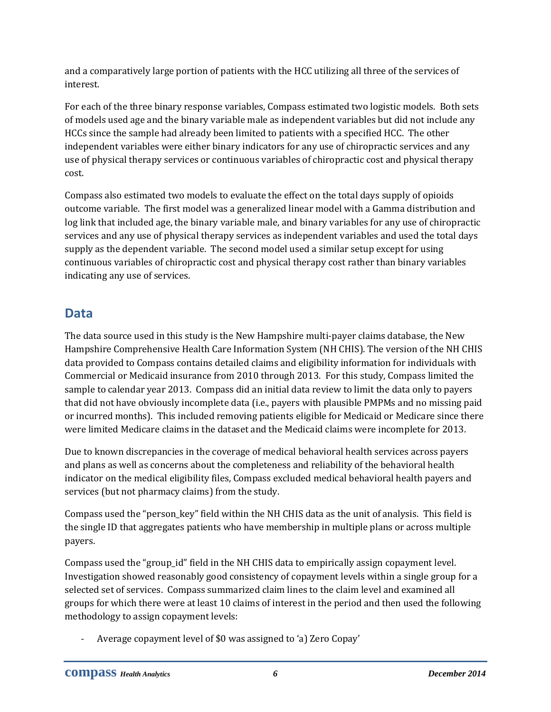and a comparatively large portion of patients with the HCC utilizing all three of the services of interest.

For each of the three binary response variables, Compass estimated two logistic models. Both sets of models used age and the binary variable male as independent variables but did not include any HCCs since the sample had already been limited to patients with a specified HCC. The other independent variables were either binary indicators for any use of chiropractic services and any use of physical therapy services or continuous variables of chiropractic cost and physical therapy cost.

Compass also estimated two models to evaluate the effect on the total days supply of opioids outcome variable. The first model was a generalized linear model with a Gamma distribution and log link that included age, the binary variable male, and binary variables for any use of chiropractic services and any use of physical therapy services as independent variables and used the total days supply as the dependent variable. The second model used a similar setup except for using continuous variables of chiropractic cost and physical therapy cost rather than binary variables indicating any use of services.

## <span id="page-10-0"></span>**Data**

The data source used in this study is the New Hampshire multi-payer claims database, the New Hampshire Comprehensive Health Care Information System (NH CHIS). The version of the NH CHIS data provided to Compass contains detailed claims and eligibility information for individuals with Commercial or Medicaid insurance from 2010 through 2013. For this study, Compass limited the sample to calendar year 2013. Compass did an initial data review to limit the data only to payers that did not have obviously incomplete data (i.e., payers with plausible PMPMs and no missing paid or incurred months). This included removing patients eligible for Medicaid or Medicare since there were limited Medicare claims in the dataset and the Medicaid claims were incomplete for 2013.

Due to known discrepancies in the coverage of medical behavioral health services across payers and plans as well as concerns about the completeness and reliability of the behavioral health indicator on the medical eligibility files, Compass excluded medical behavioral health payers and services (but not pharmacy claims) from the study.

Compass used the "person\_key" field within the NH CHIS data as the unit of analysis. This field is the single ID that aggregates patients who have membership in multiple plans or across multiple payers.

Compass used the "group\_id" field in the NH CHIS data to empirically assign copayment level. Investigation showed reasonably good consistency of copayment levels within a single group for a selected set of services. Compass summarized claim lines to the claim level and examined all groups for which there were at least 10 claims of interest in the period and then used the following methodology to assign copayment levels:

- Average copayment level of \$0 was assigned to 'a) Zero Copay'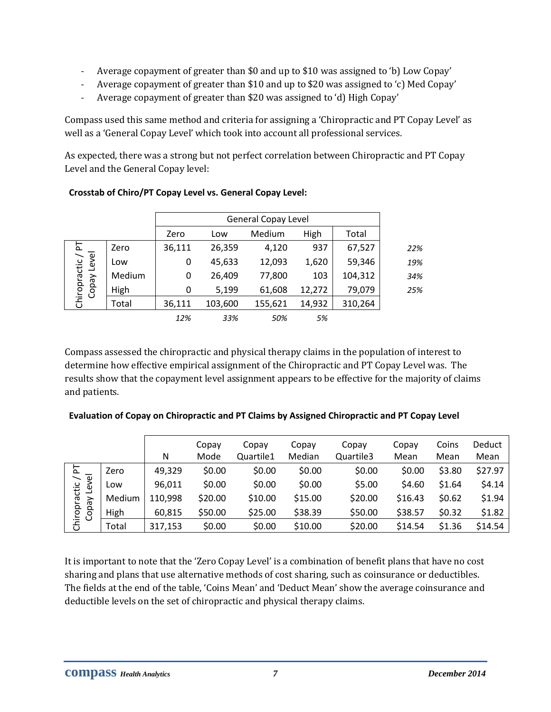- Average copayment of greater than \$0 and up to \$10 was assigned to 'b) Low Copay'
- Average copayment of greater than \$10 and up to \$20 was assigned to 'c) Med Copay'
- Average copayment of greater than \$20 was assigned to 'd) High Copay'

Compass used this same method and criteria for assigning a 'Chiropractic and PT Copay Level' as well as a 'General Copay Level' which took into account all professional services.

As expected, there was a strong but not perfect correlation between Chiropractic and PT Copay Level and the General Copay level:

|                                  |        | <b>General Copay Level</b> |         |         |        |         |  |  |  |  |  |
|----------------------------------|--------|----------------------------|---------|---------|--------|---------|--|--|--|--|--|
|                                  |        | Zero                       | Low     | Medium  | High   | Total   |  |  |  |  |  |
|                                  | Zero   | 36,111                     | 26,359  | 4,120   | 937    | 67,527  |  |  |  |  |  |
| Chiropractic / PT<br>Copay Level | Low    | 0                          | 45,633  | 12,093  | 1,620  | 59,346  |  |  |  |  |  |
|                                  | Medium | 0                          | 26,409  | 77,800  | 103    | 104,312 |  |  |  |  |  |
|                                  | High   | 0                          | 5,199   | 61,608  | 12,272 | 79,079  |  |  |  |  |  |
|                                  | Total  | 36,111                     | 103,600 | 155,621 | 14,932 | 310,264 |  |  |  |  |  |
|                                  |        | 12%                        | 33%     | 50%     | 5%     |         |  |  |  |  |  |

#### **Crosstab of Chiro/PT Copay Level vs. General Copay Level:**

Compass assessed the chiropractic and physical therapy claims in the population of interest to determine how effective empirical assignment of the Chiropractic and PT Copay Level was. The results show that the copayment level assignment appears to be effective for the majority of claims and patients.

#### **Evaluation of Copay on Chiropractic and PT Claims by Assigned Chiropractic and PT Copay Level**

|                                |        |         | Copay   | Copay     | Copay   | Copay     | Copay   | Coins  | <b>Deduct</b> |
|--------------------------------|--------|---------|---------|-----------|---------|-----------|---------|--------|---------------|
|                                |        | N       | Mode    | Quartile1 | Median  | Quartile3 | Mean    | Mean   | Mean          |
| $\Delta$                       | Zero   | 49,329  | \$0.00  | \$0.00    | \$0.00  | \$0.00    | \$0.00  | \$3.80 | \$27.97       |
| Level<br>Chiropractic<br>Copay | Low    | 96,011  | \$0.00  | \$0.00    | \$0.00  | \$5.00    | \$4.60  | \$1.64 | \$4.14        |
|                                | Medium | 110,998 | \$20.00 | \$10.00   | \$15.00 | \$20.00   | \$16.43 | \$0.62 | \$1.94        |
|                                | High   | 60,815  | \$50.00 | \$25.00   | \$38.39 | \$50.00   | \$38.57 | \$0.32 | \$1.82        |
|                                | Total  | 317,153 | \$0.00  | \$0.00    | \$10.00 | \$20.00   | \$14.54 | \$1.36 | \$14.54       |

It is important to note that the 'Zero Copay Level' is a combination of benefit plans that have no cost sharing and plans that use alternative methods of cost sharing, such as coinsurance or deductibles. The fields at the end of the table, 'Coins Mean' and 'Deduct Mean' show the average coinsurance and deductible levels on the set of chiropractic and physical therapy claims.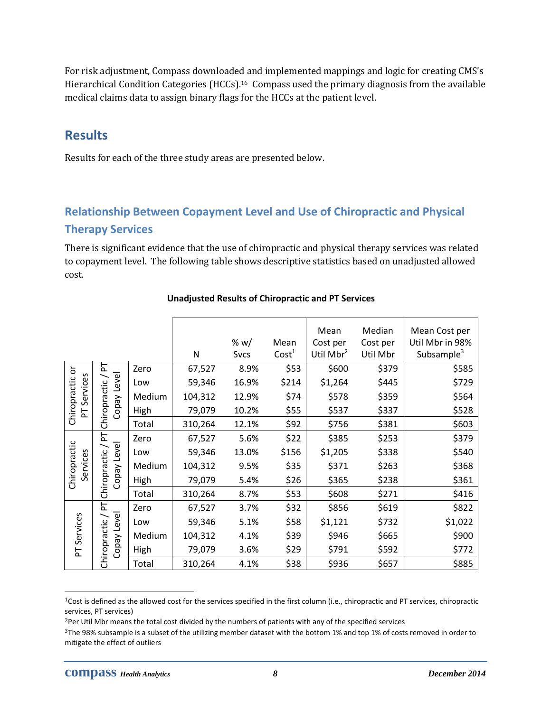For risk adjustment, Compass downloaded and implemented mappings and logic for creating CMS's Hierarchical Condition Categories (HCCs). <sup>16</sup> Compass used the primary diagnosis from the available medical claims data to assign binary flags for the HCCs at the patient level.

### <span id="page-12-0"></span>**Results**

Results for each of the three study areas are presented below.

## <span id="page-12-1"></span>**Relationship Between Copayment Level and Use of Chiropractic and Physical Therapy Services**

There is significant evidence that the use of chiropractic and physical therapy services was related to copayment level. The following table shows descriptive statistics based on unadjusted allowed cost.

|                          |                             |        |         | % $w/$              | Mean<br>Cost <sup>1</sup> | Mean<br>Cost per<br>Util Mbr <sup>2</sup> | Median<br>Cost per<br>Util Mbr | Mean Cost per<br>Util Mbr in 98%<br>Subsample <sup>3</sup> |
|--------------------------|-----------------------------|--------|---------|---------------------|---------------------------|-------------------------------------------|--------------------------------|------------------------------------------------------------|
|                          | 눈                           | Zero   | N       | <b>Svcs</b><br>8.9% | \$53                      | \$600                                     | \$379                          |                                                            |
|                          |                             |        | 67,527  |                     |                           |                                           |                                | \$585                                                      |
|                          | Level                       | Low    | 59,346  | 16.9%               | \$214                     | \$1,264                                   | \$445                          | \$729                                                      |
| Services                 |                             | Medium | 104,312 | 12.9%               | \$74                      | \$578                                     | \$359                          | \$564                                                      |
| Chiropractic or<br>눈     | Chiropractic<br>Copay       | High   | 79,079  | 10.2%               | \$55                      | \$537                                     | \$337                          | \$528                                                      |
|                          |                             | Total  | 310,264 | 12.1%               | \$92                      | \$756                                     | \$381                          | \$603                                                      |
|                          | 눈                           | Zero   | 67,527  | 5.6%                | \$22                      | \$385                                     | \$253                          | \$379                                                      |
| Chiropractic<br>Services |                             | Low    | 59,346  | 13.0%               | \$156                     | \$1,205                                   | \$338                          | \$540                                                      |
|                          | Copay Leve<br>Chiropractic  | Medium | 104,312 | 9.5%                | \$35                      | \$371                                     | \$263                          | \$368                                                      |
|                          |                             | High   | 79,079  | 5.4%                | \$26                      | \$365                                     | \$238                          | \$361                                                      |
|                          |                             | Total  | 310,264 | 8.7%                | \$53                      | \$608                                     | \$271                          | \$416                                                      |
|                          | 는                           | Zero   | 67,527  | 3.7%                | \$32                      | \$856                                     | \$619                          | \$822                                                      |
|                          |                             | Low    | 59,346  | 5.1%                | \$58                      | \$1,121                                   | \$732                          | \$1,022                                                    |
| Services                 |                             | Medium | 104,312 | 4.1%                | \$39                      | \$946                                     | \$665                          | \$900                                                      |
| 눈                        | Copay Level<br>Chiropractic | High   | 79,079  | 3.6%                | \$29                      | \$791                                     | \$592                          | \$772                                                      |
|                          |                             | Total  | 310,264 | 4.1%                | \$38                      | \$936                                     | \$657                          | \$885                                                      |

#### **Unadjusted Results of Chiropractic and PT Services**

l

<sup>1</sup>Cost is defined as the allowed cost for the services specified in the first column (i.e., chiropractic and PT services, chiropractic services, PT services)

<sup>&</sup>lt;sup>2</sup>Per Util Mbr means the total cost divided by the numbers of patients with any of the specified services

<sup>3</sup>The 98% subsample is a subset of the utilizing member dataset with the bottom 1% and top 1% of costs removed in order to mitigate the effect of outliers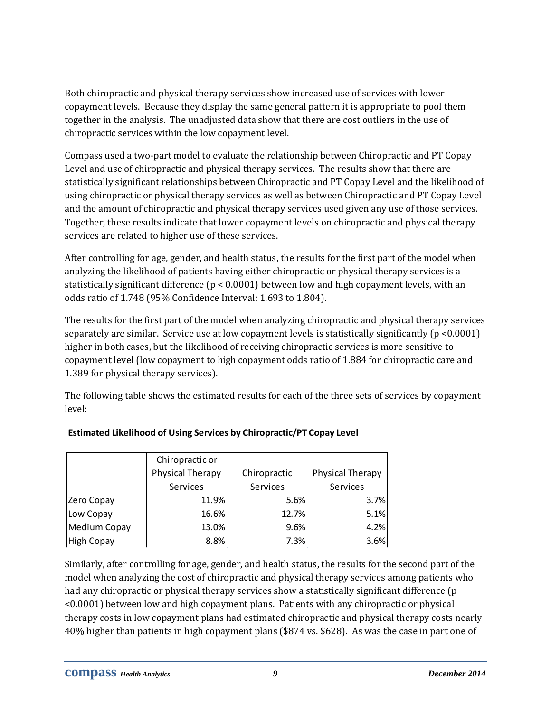Both chiropractic and physical therapy services show increased use of services with lower copayment levels. Because they display the same general pattern it is appropriate to pool them together in the analysis. The unadjusted data show that there are cost outliers in the use of chiropractic services within the low copayment level.

Compass used a two-part model to evaluate the relationship between Chiropractic and PT Copay Level and use of chiropractic and physical therapy services. The results show that there are statistically significant relationships between Chiropractic and PT Copay Level and the likelihood of using chiropractic or physical therapy services as well as between Chiropractic and PT Copay Level and the amount of chiropractic and physical therapy services used given any use of those services. Together, these results indicate that lower copayment levels on chiropractic and physical therapy services are related to higher use of these services.

After controlling for age, gender, and health status, the results for the first part of the model when analyzing the likelihood of patients having either chiropractic or physical therapy services is a statistically significant difference (p < 0.0001) between low and high copayment levels, with an odds ratio of 1.748 (95% Confidence Interval: 1.693 to 1.804).

The results for the first part of the model when analyzing chiropractic and physical therapy services separately are similar. Service use at low copayment levels is statistically significantly (p <0.0001) higher in both cases, but the likelihood of receiving chiropractic services is more sensitive to copayment level (low copayment to high copayment odds ratio of 1.884 for chiropractic care and 1.389 for physical therapy services).

The following table shows the estimated results for each of the three sets of services by copayment level:

|                   | Chiropractic or<br>Physical Therapy | Chiropractic | Physical Therapy |
|-------------------|-------------------------------------|--------------|------------------|
|                   | Services                            | Services     | Services         |
| Zero Copay        | 11.9%                               | 5.6%         | 3.7%             |
| Low Copay         | 16.6%                               | 12.7%        | 5.1%             |
| Medium Copay      | 13.0%                               | 9.6%         | 4.2%             |
| <b>High Copay</b> | 8.8%                                | 7.3%         | 3.6%             |

#### **Estimated Likelihood of Using Services by Chiropractic/PT Copay Level**

Similarly, after controlling for age, gender, and health status, the results for the second part of the model when analyzing the cost of chiropractic and physical therapy services among patients who had any chiropractic or physical therapy services show a statistically significant difference (p <0.0001) between low and high copayment plans. Patients with any chiropractic or physical therapy costs in low copayment plans had estimated chiropractic and physical therapy costs nearly 40% higher than patients in high copayment plans (\$874 vs. \$628). As was the case in part one of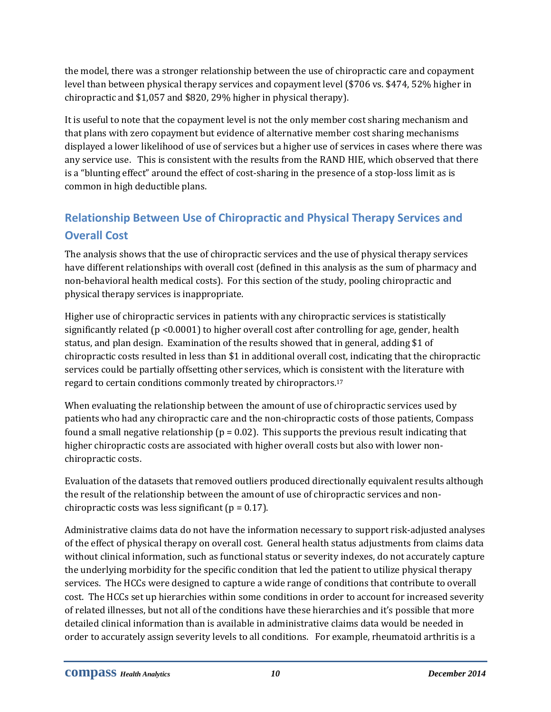the model, there was a stronger relationship between the use of chiropractic care and copayment level than between physical therapy services and copayment level (\$706 vs. \$474, 52% higher in chiropractic and \$1,057 and \$820, 29% higher in physical therapy).

It is useful to note that the copayment level is not the only member cost sharing mechanism and that plans with zero copayment but evidence of alternative member cost sharing mechanisms displayed a lower likelihood of use of services but a higher use of services in cases where there was any service use. This is consistent with the results from the RAND HIE, which observed that there is a "blunting effect" around the effect of cost-sharing in the presence of a stop-loss limit as is common in high deductible plans.

# <span id="page-14-0"></span>**Relationship Between Use of Chiropractic and Physical Therapy Services and Overall Cost**

The analysis shows that the use of chiropractic services and the use of physical therapy services have different relationships with overall cost (defined in this analysis as the sum of pharmacy and non-behavioral health medical costs). For this section of the study, pooling chiropractic and physical therapy services is inappropriate.

Higher use of chiropractic services in patients with any chiropractic services is statistically significantly related (p <0.0001) to higher overall cost after controlling for age, gender, health status, and plan design. Examination of the results showed that in general, adding \$1 of chiropractic costs resulted in less than \$1 in additional overall cost, indicating that the chiropractic services could be partially offsetting other services, which is consistent with the literature with regard to certain conditions commonly treated by chiropractors.<sup>17</sup>

When evaluating the relationship between the amount of use of chiropractic services used by patients who had any chiropractic care and the non-chiropractic costs of those patients, Compass found a small negative relationship ( $p = 0.02$ ). This supports the previous result indicating that higher chiropractic costs are associated with higher overall costs but also with lower nonchiropractic costs.

Evaluation of the datasets that removed outliers produced directionally equivalent results although the result of the relationship between the amount of use of chiropractic services and nonchiropractic costs was less significant ( $p = 0.17$ ).

Administrative claims data do not have the information necessary to support risk-adjusted analyses of the effect of physical therapy on overall cost. General health status adjustments from claims data without clinical information, such as functional status or severity indexes, do not accurately capture the underlying morbidity for the specific condition that led the patient to utilize physical therapy services. The HCCs were designed to capture a wide range of conditions that contribute to overall cost. The HCCs set up hierarchies within some conditions in order to account for increased severity of related illnesses, but not all of the conditions have these hierarchies and it's possible that more detailed clinical information than is available in administrative claims data would be needed in order to accurately assign severity levels to all conditions. For example, rheumatoid arthritis is a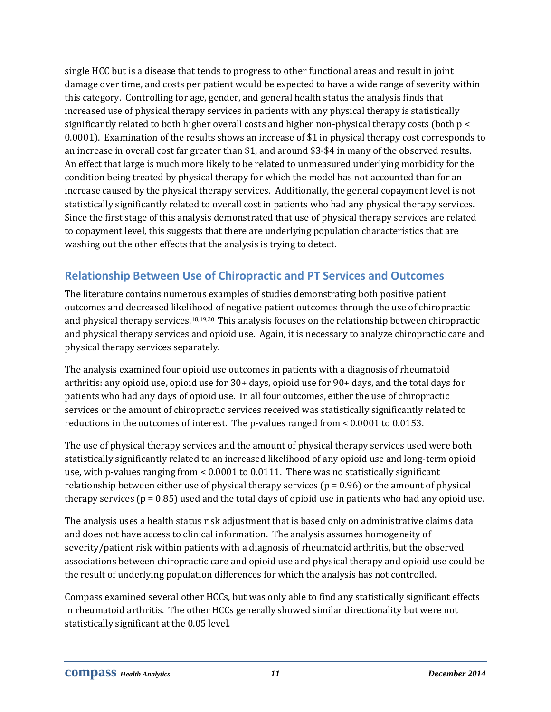single HCC but is a disease that tends to progress to other functional areas and result in joint damage over time, and costs per patient would be expected to have a wide range of severity within this category. Controlling for age, gender, and general health status the analysis finds that increased use of physical therapy services in patients with any physical therapy is statistically significantly related to both higher overall costs and higher non-physical therapy costs (both p < 0.0001). Examination of the results shows an increase of \$1 in physical therapy cost corresponds to an increase in overall cost far greater than \$1, and around \$3-\$4 in many of the observed results. An effect that large is much more likely to be related to unmeasured underlying morbidity for the condition being treated by physical therapy for which the model has not accounted than for an increase caused by the physical therapy services. Additionally, the general copayment level is not statistically significantly related to overall cost in patients who had any physical therapy services. Since the first stage of this analysis demonstrated that use of physical therapy services are related to copayment level, this suggests that there are underlying population characteristics that are washing out the other effects that the analysis is trying to detect.

### <span id="page-15-0"></span>**Relationship Between Use of Chiropractic and PT Services and Outcomes**

The literature contains numerous examples of studies demonstrating both positive patient outcomes and decreased likelihood of negative patient outcomes through the use of chiropractic and physical therapy services.18,19,20 This analysis focuses on the relationship between chiropractic and physical therapy services and opioid use. Again, it is necessary to analyze chiropractic care and physical therapy services separately.

The analysis examined four opioid use outcomes in patients with a diagnosis of rheumatoid arthritis: any opioid use, opioid use for 30+ days, opioid use for 90+ days, and the total days for patients who had any days of opioid use. In all four outcomes, either the use of chiropractic services or the amount of chiropractic services received was statistically significantly related to reductions in the outcomes of interest. The p-values ranged from < 0.0001 to 0.0153.

The use of physical therapy services and the amount of physical therapy services used were both statistically significantly related to an increased likelihood of any opioid use and long-term opioid use, with p-values ranging from  $< 0.0001$  to 0.0111. There was no statistically significant relationship between either use of physical therapy services ( $p = 0.96$ ) or the amount of physical therapy services ( $p = 0.85$ ) used and the total days of opioid use in patients who had any opioid use.

The analysis uses a health status risk adjustment that is based only on administrative claims data and does not have access to clinical information. The analysis assumes homogeneity of severity/patient risk within patients with a diagnosis of rheumatoid arthritis, but the observed associations between chiropractic care and opioid use and physical therapy and opioid use could be the result of underlying population differences for which the analysis has not controlled.

Compass examined several other HCCs, but was only able to find any statistically significant effects in rheumatoid arthritis. The other HCCs generally showed similar directionality but were not statistically significant at the 0.05 level.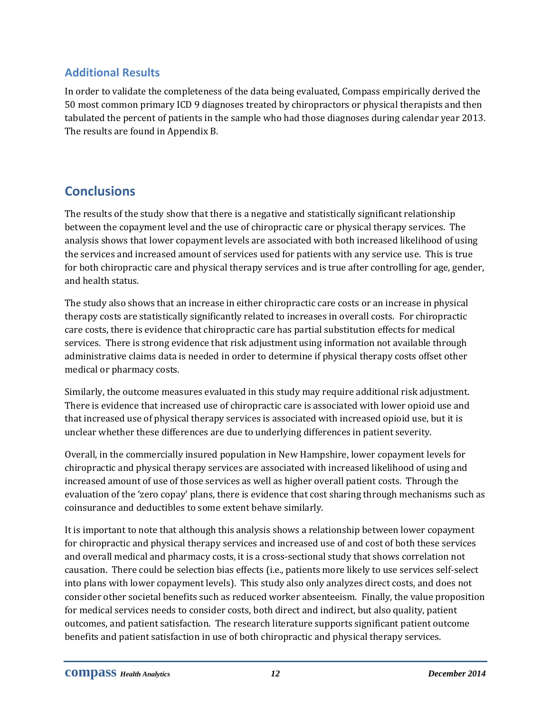### <span id="page-16-0"></span>**Additional Results**

In order to validate the completeness of the data being evaluated, Compass empirically derived the 50 most common primary ICD 9 diagnoses treated by chiropractors or physical therapists and then tabulated the percent of patients in the sample who had those diagnoses during calendar year 2013. The results are found in Appendix B.

# <span id="page-16-1"></span>**Conclusions**

The results of the study show that there is a negative and statistically significant relationship between the copayment level and the use of chiropractic care or physical therapy services. The analysis shows that lower copayment levels are associated with both increased likelihood of using the services and increased amount of services used for patients with any service use. This is true for both chiropractic care and physical therapy services and is true after controlling for age, gender, and health status.

The study also shows that an increase in either chiropractic care costs or an increase in physical therapy costs are statistically significantly related to increases in overall costs. For chiropractic care costs, there is evidence that chiropractic care has partial substitution effects for medical services. There is strong evidence that risk adjustment using information not available through administrative claims data is needed in order to determine if physical therapy costs offset other medical or pharmacy costs.

Similarly, the outcome measures evaluated in this study may require additional risk adjustment. There is evidence that increased use of chiropractic care is associated with lower opioid use and that increased use of physical therapy services is associated with increased opioid use, but it is unclear whether these differences are due to underlying differences in patient severity.

Overall, in the commercially insured population in New Hampshire, lower copayment levels for chiropractic and physical therapy services are associated with increased likelihood of using and increased amount of use of those services as well as higher overall patient costs. Through the evaluation of the 'zero copay' plans, there is evidence that cost sharing through mechanisms such as coinsurance and deductibles to some extent behave similarly.

It is important to note that although this analysis shows a relationship between lower copayment for chiropractic and physical therapy services and increased use of and cost of both these services and overall medical and pharmacy costs, it is a cross-sectional study that shows correlation not causation. There could be selection bias effects (i.e., patients more likely to use services self-select into plans with lower copayment levels). This study also only analyzes direct costs, and does not consider other societal benefits such as reduced worker absenteeism. Finally, the value proposition for medical services needs to consider costs, both direct and indirect, but also quality, patient outcomes, and patient satisfaction. The research literature supports significant patient outcome benefits and patient satisfaction in use of both chiropractic and physical therapy services.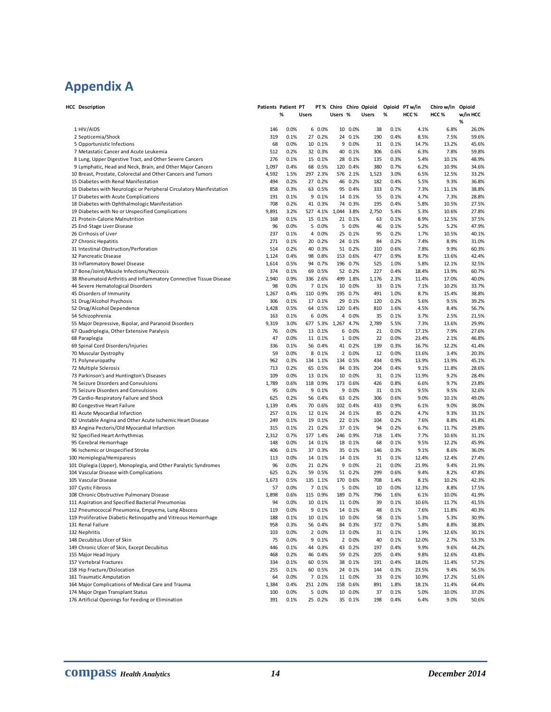# <span id="page-18-0"></span>**Appendix A**

| <b>HCC Description</b>                                                                                         | Patients Patient PT |              |       |                     |                     |                     | PT% Chiro Chiro Opioid | Opioid PT w/in |                  | Chiro w/in Opioid |                |
|----------------------------------------------------------------------------------------------------------------|---------------------|--------------|-------|---------------------|---------------------|---------------------|------------------------|----------------|------------------|-------------------|----------------|
|                                                                                                                |                     | %            | Users |                     | Users %             |                     | <b>Users</b>           | %              | HCC <sub>%</sub> | HCC <sub>%</sub>  | w/in HCC<br>%  |
| 1 HIV/AIDS                                                                                                     | 146                 | 0.0%         |       | 6 0.0%              |                     | 10 0.0%             | 38                     | 0.1%           | 4.1%             | 6.8%              | 26.0%          |
| 2 Septicemia/Shock                                                                                             | 319                 | 0.1%         |       | 27 0.2%             |                     | 24 0.1%             | 190                    | 0.4%           | 8.5%             | 7.5%              | 59.6%          |
| 5 Opportunistic Infections                                                                                     | 68                  | 0.0%         |       | 10 0.1%             |                     | 9 0.0%              | 31                     | 0.1%           | 14.7%            | 13.2%             | 45.6%          |
| 7 Metastatic Cancer and Acute Leukemia                                                                         | 512                 | 0.2%         |       | 32 0.3%             |                     | 40 0.1%             | 306                    | 0.6%           | 6.3%             | 7.8%              | 59.8%          |
| 8 Lung, Upper Digestive Tract, and Other Severe Cancers                                                        | 276                 | 0.1%         |       | 15 0.1%             |                     | 28 0.1%             | 135                    | 0.3%           | 5.4%             | 10.1%             | 48.9%          |
| 9 Lymphatic, Head and Neck, Brain, and Other Major Cancers                                                     | 1,097               | 0.4%<br>1.5% |       | 68 0.5%             |                     | 120 0.4%            | 380                    | 0.7%<br>3.0%   | 6.2%<br>6.5%     | 10.9%             | 34.6%<br>33.2% |
| 10 Breast, Prostate, Colorectal and Other Cancers and Tumors<br>15 Diabetes with Renal Manifestation           | 4,592<br>494        | 0.2%         |       | 297 2.3%<br>27 0.2% |                     | 576 2.1%<br>46 0.2% | 1,523<br>182           | 0.4%           | 5.5%             | 12.5%<br>9.3%     | 36.8%          |
| 16 Diabetes with Neurologic or Peripheral Circulatory Manifestation                                            | 858                 | 0.3%         |       | 63 0.5%             |                     | 95 0.4%             | 333                    | 0.7%           | 7.3%             | 11.1%             | 38.8%          |
| 17 Diabetes with Acute Complications                                                                           | 191                 | 0.1%         |       | 9 0.1%              |                     | 14 0.1%             | 55                     | 0.1%           | 4.7%             | 7.3%              | 28.8%          |
| 18 Diabetes with Ophthalmologic Manifestation                                                                  | 708                 | 0.2%         |       | 41 0.3%             |                     | 74 0.3%             | 195                    | 0.4%           | 5.8%             | 10.5%             | 27.5%          |
| 19 Diabetes with No or Unspecified Complications                                                               | 9,891               | 3.2%         |       |                     | 527 4.1% 1,044 3.8% |                     | 2,750                  | 5.4%           | 5.3%             | 10.6%             | 27.8%          |
| 21 Protein-Calorie Malnutrition                                                                                | 168                 | 0.1%         |       | 15 0.1%             |                     | 21 0.1%             | 63                     | 0.1%           | 8.9%             | 12.5%             | 37.5%          |
| 25 End-Stage Liver Disease                                                                                     | 96                  | 0.0%         |       | 5 0.0%              |                     | 5 0.0%              | 46                     | 0.1%           | 5.2%             | 5.2%              | 47.9%          |
| 26 Cirrhosis of Liver                                                                                          | 237                 | 0.1%         | 4     | 0.0%                |                     | 25 0.1%             | 95                     | 0.2%           | 1.7%             | 10.5%             | 40.1%          |
| 27 Chronic Hepatitis                                                                                           | 271                 | 0.1%         |       | 20 0.2%             |                     | 24 0.1%             | 84                     | 0.2%           | 7.4%             | 8.9%              | 31.0%          |
| 31 Intestinal Obstruction/Perforation                                                                          | 514                 | 0.2%         |       | 40 0.3%             |                     | 51 0.2%             | 310                    | 0.6%           | 7.8%             | 9.9%              | 60.3%          |
| 32 Pancreatic Disease                                                                                          | 1,124               | 0.4%         |       | 98 0.8%             |                     | 153 0.6%            | 477                    | 0.9%           | 8.7%             | 13.6%             | 42.4%          |
| 33 Inflammatory Bowel Disease                                                                                  | 1,614               | 0.5%         |       | 94 0.7%             |                     | 196 0.7%            | 525                    | 1.0%           | 5.8%             | 12.1%             | 32.5%          |
| 37 Bone/Joint/Muscle Infections/Necrosis<br>38 Rheumatoid Arthritis and Inflammatory Connective Tissue Disease | 374<br>2,940        | 0.1%<br>0.9% |       | 69 0.5%<br>336 2.6% |                     | 52 0.2%<br>499 1.8% | 227<br>1,176           | 0.4%<br>2.3%   | 18.4%<br>11.4%   | 13.9%<br>17.0%    | 60.7%<br>40.0% |
| 44 Severe Hematological Disorders                                                                              | 98                  | 0.0%         |       | 7 0.1%              |                     | 10 0.0%             | 33                     | 0.1%           | 7.1%             | 10.2%             | 33.7%          |
| 45 Disorders of Immunity                                                                                       | 1,267               | 0.4%         |       | 110 0.9%            |                     | 195 0.7%            | 491                    | 1.0%           | 8.7%             | 15.4%             | 38.8%          |
| 51 Drug/Alcohol Psychosis                                                                                      | 306                 | 0.1%         |       | 17 0.1%             |                     | 29 0.1%             | 120                    | 0.2%           | 5.6%             | 9.5%              | 39.2%          |
| 52 Drug/Alcohol Dependence                                                                                     | 1,428               | 0.5%         |       | 64 0.5%             |                     | 120 0.4%            | 810                    | 1.6%           | 4.5%             | 8.4%              | 56.7%          |
| 54 Schizophrenia                                                                                               | 163                 | 0.1%         |       | 6 0.0%              |                     | 4 0.0%              | 35                     | 0.1%           | 3.7%             | 2.5%              | 21.5%          |
| 55 Major Depressive, Bipolar, and Paranoid Disorders                                                           | 9,319               | 3.0%         |       |                     | 677 5.3% 1,267 4.7% |                     | 2,789                  | 5.5%           | 7.3%             | 13.6%             | 29.9%          |
| 67 Quadriplegia, Other Extensive Paralysis                                                                     | 76                  | 0.0%         |       | 13 0.1%             |                     | 6 0.0%              | 21                     | 0.0%           | 17.1%            | 7.9%              | 27.6%          |
| 68 Paraplegia                                                                                                  | 47                  | 0.0%         |       | 11 0.1%             |                     | 1 0.0%              | 22                     | 0.0%           | 23.4%            | 2.1%              | 46.8%          |
| 69 Spinal Cord Disorders/Injuries                                                                              | 336                 | 0.1%         |       | 56 0.4%             |                     | 41 0.2%             | 139                    | 0.3%           | 16.7%            | 12.2%             | 41.4%          |
| 70 Muscular Dystrophy                                                                                          | 59                  | 0.0%         |       | 8 0.1%              |                     | 2 0.0%              | 12                     | 0.0%           | 13.6%            | 3.4%              | 20.3%          |
| 71 Polyneuropathy                                                                                              | 962                 | 0.3%         |       | 134 1.1%            |                     | 134 0.5%            | 434                    | 0.9%           | 13.9%            | 13.9%             | 45.1%          |
| 72 Multiple Sclerosis                                                                                          | 713                 | 0.2%         |       | 65 0.5%             |                     | 84 0.3%             | 204                    | 0.4%           | 9.1%             | 11.8%             | 28.6%          |
| 73 Parkinson's and Huntington's Diseases<br>74 Seizure Disorders and Convulsions                               | 109<br>1,789        | 0.0%<br>0.6% |       | 13 0.1%<br>118 0.9% |                     | 10 0.0%<br>173 0.6% | 31<br>426              | 0.1%<br>0.8%   | 11.9%            | 9.2%<br>9.7%      | 28.4%<br>23.8% |
| 75 Seizure Disorders and Convulsions                                                                           | 95                  | 0.0%         |       | 9 0.1%              |                     | 9 0.0%              | 31                     | 0.1%           | 6.6%<br>9.5%     | 9.5%              | 32.6%          |
| 79 Cardio-Respiratory Failure and Shock                                                                        | 625                 | 0.2%         |       | 56 0.4%             |                     | 63 0.2%             | 306                    | 0.6%           | 9.0%             | 10.1%             | 49.0%          |
| 80 Congestive Heart Failure                                                                                    | 1,139               | 0.4%         |       | 70 0.6%             |                     | 102 0.4%            | 433                    | 0.9%           | 6.1%             | 9.0%              | 38.0%          |
| 81 Acute Myocardial Infarction                                                                                 | 257                 | 0.1%         |       | 12 0.1%             |                     | 24 0.1%             | 85                     | 0.2%           | 4.7%             | 9.3%              | 33.1%          |
| 82 Unstable Angina and Other Acute Ischemic Heart Disease                                                      | 249                 | 0.1%         |       | 19 0.1%             |                     | 22 0.1%             | 104                    | 0.2%           | 7.6%             | 8.8%              | 41.8%          |
| 83 Angina Pectoris/Old Myocardial Infarction                                                                   | 315                 | 0.1%         |       | 21 0.2%             |                     | 37 0.1%             | 94                     | 0.2%           | 6.7%             | 11.7%             | 29.8%          |
| 92 Specified Heart Arrhythmias                                                                                 | 2,312               | 0.7%         |       | 177 1.4%            |                     | 246 0.9%            | 718                    | 1.4%           | 7.7%             | 10.6%             | 31.1%          |
| 95 Cerebral Hemorrhage                                                                                         | 148                 | 0.0%         |       | 14 0.1%             |                     | 18 0.1%             | 68                     | 0.1%           | 9.5%             | 12.2%             | 45.9%          |
| 96 Ischemic or Unspecified Stroke                                                                              | 406                 | 0.1%         |       | 37 0.3%             |                     | 35 0.1%             | 146                    | 0.3%           | 9.1%             | 8.6%              | 36.0%          |
| 100 Hemiplegia/Hemiparesis                                                                                     | 113                 | 0.0%         |       | 14 0.1%             |                     | 14 0.1%             | 31                     | 0.1%           | 12.4%            | 12.4%             | 27.4%          |
| 101 Diplegia (Upper), Monoplegia, and Other Paralytic Syndromes                                                | 96                  | 0.0%         |       | 21 0.2%<br>59 0.5%  |                     | 9 0.0%              | 21                     | 0.0%           | 21.9%            | 9.4%              | 21.9%          |
| 104 Vascular Disease with Complications<br>105 Vascular Disease                                                | 625<br>1,673        | 0.2%<br>0.5% |       | 135 1.1%            |                     | 51 0.2%<br>170 0.6% | 299<br>708             | 0.6%<br>1.4%   | 9.4%<br>8.1%     | 8.2%<br>10.2%     | 47.8%<br>42.3% |
| 107 Cystic Fibrosis                                                                                            | 57                  | 0.0%         |       | 7 0.1%              |                     | 5 0.0%              | 10                     | 0.0%           | 12.3%            | 8.8%              | 17.5%          |
| 108 Chronic Obstructive Pulmonary Disease                                                                      | 1,898               | 0.6%         |       | 115 0.9%            |                     | 189 0.7%            | 796                    | 1.6%           | 6.1%             | 10.0%             | 41.9%          |
| 111 Aspiration and Specified Bacterial Pneumonias                                                              | 94                  | 0.0%         |       | 10 0.1%             |                     | 11 0.0%             | 39                     | 0.1%           | 10.6%            | 11.7%             | 41.5%          |
| 112 Pneumococcal Pneumonia, Empyema, Lung Abscess                                                              | 119                 | 0.0%         |       | 9 0.1%              |                     | 14 0.1%             | 48                     | 0.1%           | 7.6%             | 11.8%             | 40.3%          |
| 119 Proliferative Diabetic Retinopathy and Vitreous Hemorrhage                                                 | 188                 | 0.1%         |       | 10 0.1%             |                     | 10 0.0%             | 58                     | 0.1%           | 5.3%             | 5.3%              | 30.9%          |
| 131 Renal Failure                                                                                              | 958                 | 0.3%         |       | 56 0.4%             |                     | 84 0.3%             | 372                    | 0.7%           | 5.8%             | 8.8%              | 38.8%          |
| 132 Nephritis                                                                                                  | 103                 | 0.0%         |       | 2 0.0%              |                     | 13 0.0%             | 31                     | 0.1%           | 1.9%             | 12.6%             | 30.1%          |
| 148 Decubitus Ulcer of Skin                                                                                    | 75                  | 0.0%         |       | 9 0.1%              |                     | 2 0.0%              | 40                     | 0.1%           | 12.0%            | 2.7%              | 53.3%          |
| 149 Chronic Ulcer of Skin, Except Decubitus                                                                    | 446                 | 0.1%         |       | 44 0.3%             |                     | 43 0.2%             | 197                    | 0.4%           | 9.9%             | 9.6%              | 44.2%          |
| 155 Major Head Injury                                                                                          | 468                 | 0.2%         |       | 46 0.4%             |                     | 59 0.2%             | 205                    | 0.4%           | 9.8%             | 12.6%             | 43.8%          |
| 157 Vertebral Fractures                                                                                        | 334                 | 0.1%         |       | 60 0.5%             |                     | 38 0.1%             | 191                    | 0.4%           | 18.0%            | 11.4%             | 57.2%          |
| 158 Hip Fracture/Dislocation<br>161 Traumatic Amputation                                                       | 255<br>64           | 0.1%<br>0.0% |       | 60 0.5%<br>7 0.1%   |                     | 24 0.1%<br>11 0.0%  | 144                    | 0.3%<br>0.1%   | 23.5%<br>10.9%   | 9.4%<br>17.2%     | 56.5%<br>51.6% |
| 164 Major Complications of Medical Care and Trauma                                                             | 1,384               | 0.4%         |       | 251 2.0%            |                     | 158 0.6%            | 33<br>891              | 1.8%           | 18.1%            | 11.4%             | 64.4%          |
| 174 Major Organ Transplant Status                                                                              | 100                 | 0.0%         |       | 5 0.0%              |                     | 10 0.0%             | 37                     | 0.1%           | 5.0%             | 10.0%             | 37.0%          |
| 176 Artificial Openings for Feeding or Elimination                                                             | 391                 | 0.1%         |       | 25 0.2%             |                     | 35 0.1%             | 198                    | 0.4%           | 6.4%             | 9.0%              | 50.6%          |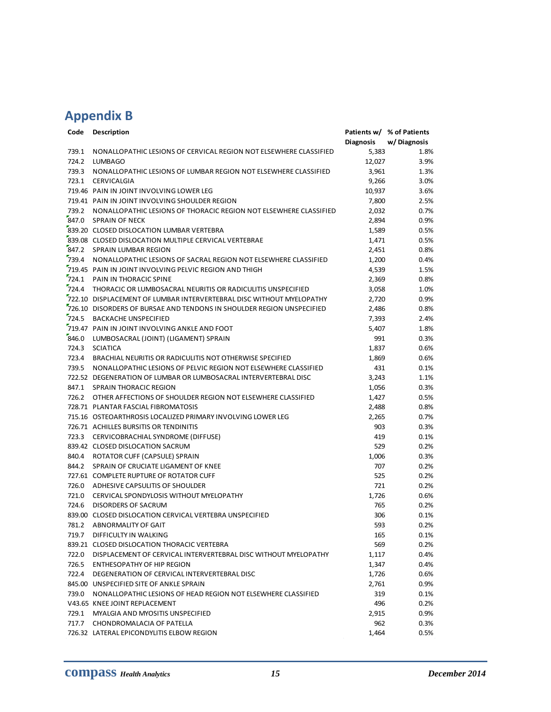# <span id="page-19-0"></span>**Appendix B**

| Code  | Description                                                           |                  | Patients w/ % of Patients |
|-------|-----------------------------------------------------------------------|------------------|---------------------------|
|       |                                                                       | <b>Diagnosis</b> | w/Diagnosis               |
| 739.1 | NONALLOPATHIC LESIONS OF CERVICAL REGION NOT ELSEWHERE CLASSIFIED     | 5,383            | 1.8%                      |
| 724.2 | <b>LUMBAGO</b>                                                        | 12,027           | 3.9%                      |
| 739.3 | NONALLOPATHIC LESIONS OF LUMBAR REGION NOT ELSEWHERE CLASSIFIED       | 3,961            | 1.3%                      |
| 723.1 | CERVICALGIA                                                           | 9,266            | 3.0%                      |
|       | 719.46 PAIN IN JOINT INVOLVING LOWER LEG                              | 10,937           | 3.6%                      |
|       | 719.41 PAIN IN JOINT INVOLVING SHOULDER REGION                        | 7,800            | 2.5%                      |
| 739.2 | NONALLOPATHIC LESIONS OF THORACIC REGION NOT ELSEWHERE CLASSIFIED     | 2,032            | 0.7%                      |
| 847.0 | <b>SPRAIN OF NECK</b>                                                 | 2,894            | 0.9%                      |
|       | 839.20 CLOSED DISLOCATION LUMBAR VERTEBRA                             | 1,589            | 0.5%                      |
|       | 839.08 CLOSED DISLOCATION MULTIPLE CERVICAL VERTEBRAE                 | 1,471            | 0.5%                      |
|       | 847.2 SPRAIN LUMBAR REGION                                            | 2,451            | 0.8%                      |
|       | 739.4 NONALLOPATHIC LESIONS OF SACRAL REGION NOT ELSEWHERE CLASSIFIED | 1,200            | 0.4%                      |
|       | 719.45 PAIN IN JOINT INVOLVING PELVIC REGION AND THIGH                | 4,539            | 1.5%                      |
| 724.1 | <b>PAIN IN THORACIC SPINE</b>                                         | 2,369            | 0.8%                      |
| 724.4 | THORACIC OR LUMBOSACRAL NEURITIS OR RADICULITIS UNSPECIFIED           | 3,058            | 1.0%                      |
|       | 722.10 DISPLACEMENT OF LUMBAR INTERVERTEBRAL DISC WITHOUT MYELOPATHY  | 2,720            | 0.9%                      |
|       | 726.10 DISORDERS OF BURSAE AND TENDONS IN SHOULDER REGION UNSPECIFIED | 2,486            | 0.8%                      |
| 724.5 | <b>BACKACHE UNSPECIFIED</b>                                           | 7,393            | 2.4%                      |
|       | 719.47 PAIN IN JOINT INVOLVING ANKLE AND FOOT                         | 5,407            | 1.8%                      |
| 846.0 | LUMBOSACRAL (JOINT) (LIGAMENT) SPRAIN                                 | 991              | 0.3%                      |
| 724.3 | <b>SCIATICA</b>                                                       | 1,837            | 0.6%                      |
| 723.4 | BRACHIAL NEURITIS OR RADICULITIS NOT OTHERWISE SPECIFIED              | 1,869            | 0.6%                      |
| 739.5 | NONALLOPATHIC LESIONS OF PELVIC REGION NOT ELSEWHERE CLASSIFIED       | 431              | 0.1%                      |
|       | 722.52 DEGENERATION OF LUMBAR OR LUMBOSACRAL INTERVERTEBRAL DISC      | 3,243            | 1.1%                      |
| 847.1 | <b>SPRAIN THORACIC REGION</b>                                         | 1,056            | 0.3%                      |
| 726.2 | OTHER AFFECTIONS OF SHOULDER REGION NOT ELSEWHERE CLASSIFIED          | 1,427            | 0.5%                      |
|       | 728.71 PLANTAR FASCIAL FIBROMATOSIS                                   | 2,488            | 0.8%                      |
|       | 715.16 OSTEOARTHROSIS LOCALIZED PRIMARY INVOLVING LOWER LEG           | 2,265            | 0.7%                      |
|       | 726.71 ACHILLES BURSITIS OR TENDINITIS                                | 903              | 0.3%                      |
| 723.3 | CERVICOBRACHIAL SYNDROME (DIFFUSE)                                    | 419              | 0.1%                      |
|       | 839.42 CLOSED DISLOCATION SACRUM                                      | 529              | 0.2%                      |
| 840.4 | ROTATOR CUFF (CAPSULE) SPRAIN                                         | 1,006            | 0.3%                      |
| 844.2 | SPRAIN OF CRUCIATE LIGAMENT OF KNEE                                   | 707              | 0.2%                      |
|       | 727.61 COMPLETE RUPTURE OF ROTATOR CUFF                               | 525              | 0.2%                      |
| 726.0 | ADHESIVE CAPSULITIS OF SHOULDER                                       | 721              | 0.2%                      |
| 721.0 | CERVICAL SPONDYLOSIS WITHOUT MYELOPATHY                               | 1,726            | 0.6%                      |
| 724.6 | <b>DISORDERS OF SACRUM</b>                                            | 765              | 0.2%                      |
|       | 839.00 CLOSED DISLOCATION CERVICAL VERTEBRA UNSPECIFIED               | 306              | 0.1%                      |
| 781.2 | <b>ABNORMALITY OF GAIT</b>                                            | 593              | 0.2%                      |
| 719.7 | DIFFICULTY IN WALKING                                                 | 165              | 0.1%                      |
|       | 839.21 CLOSED DISLOCATION THORACIC VERTEBRA                           | 569              | 0.2%                      |
| 722.0 | DISPLACEMENT OF CERVICAL INTERVERTEBRAL DISC WITHOUT MYELOPATHY       | 1,117            | 0.4%                      |
| 726.5 | <b>ENTHESOPATHY OF HIP REGION</b>                                     | 1,347            | 0.4%                      |
| 722.4 | DEGENERATION OF CERVICAL INTERVERTEBRAL DISC                          | 1,726            | 0.6%                      |
|       | 845.00 UNSPECIFIED SITE OF ANKLE SPRAIN                               | 2,761            | 0.9%                      |
| 739.0 | NONALLOPATHIC LESIONS OF HEAD REGION NOT ELSEWHERE CLASSIFIED         | 319              | 0.1%                      |
|       | V43.65 KNEE JOINT REPLACEMENT                                         | 496              | 0.2%                      |
| 729.1 | MYALGIA AND MYOSITIS UNSPECIFIED                                      | 2,915            | 0.9%                      |
| 717.7 | CHONDROMALACIA OF PATELLA                                             | 962              | 0.3%                      |
|       | 726.32 LATERAL EPICONDYLITIS ELBOW REGION                             | 1,464            | 0.5%                      |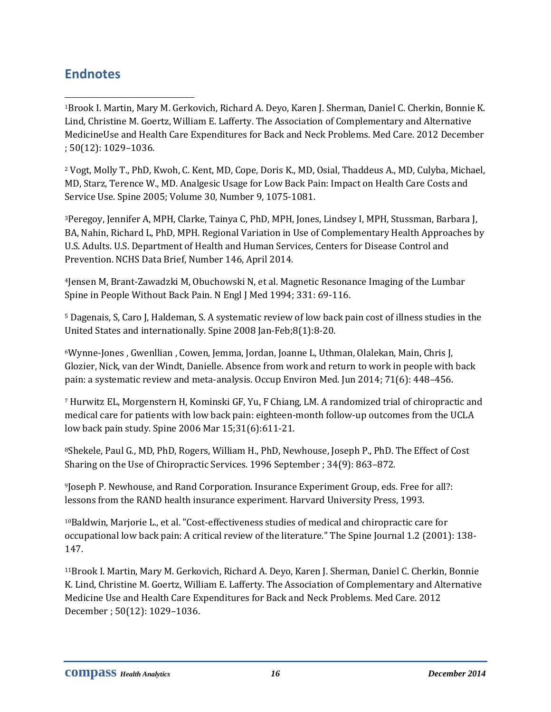# <span id="page-20-0"></span>**Endnotes**

l <sup>1</sup>Brook I. Martin, Mary M. Gerkovich, Richard A. Deyo, Karen J. Sherman, Daniel C. Cherkin, Bonnie K. Lind, Christine M. Goertz, William E. Lafferty. The Association of Complementary and Alternative MedicineUse and Health Care Expenditures for Back and Neck Problems. Med Care. 2012 December ; 50(12): 1029–1036.

<sup>2</sup> Vogt, Molly T., PhD, Kwoh, C. Kent, MD, Cope, Doris K., MD, Osial, Thaddeus A., MD, Culyba, Michael, MD, Starz, Terence W., MD. Analgesic Usage for Low Back Pain: Impact on Health Care Costs and Service Use. Spine 2005; Volume 30, Number 9, 1075-1081.

<sup>3</sup>Peregoy, Jennifer A, MPH, Clarke, Tainya C, PhD, MPH, Jones, Lindsey I, MPH, Stussman, Barbara J, BA, Nahin, Richard L, PhD, MPH. Regional Variation in Use of Complementary Health Approaches by U.S. Adults. U.S. Department of Health and Human Services, Centers for Disease Control and Prevention. NCHS Data Brief, Number 146, April 2014.

<sup>4</sup>Jensen M, Brant-Zawadzki M, Obuchowski N, et al. Magnetic Resonance Imaging of the Lumbar Spine in People Without Back Pain. N Engl J Med 1994; 331: 69-116.

<sup>5</sup> Dagenais, S, Caro J, Haldeman, S. A systematic review of low back pain cost of illness studies in the United States and internationally. Spine 2008 Jan-Feb;8(1):8-20.

<sup>6</sup>Wynne-Jones , Gwenllian , Cowen, Jemma, Jordan, Joanne L, Uthman, Olalekan, Main, Chris J, Glozier, Nick, van der Windt, Danielle. Absence from work and return to work in people with back pain: a systematic review and meta-analysis. Occup Environ Med. Jun 2014; 71(6): 448–456.

<sup>7</sup> Hurwitz EL, Morgenstern H, Kominski GF, Yu, F Chiang, LM. A randomized trial of chiropractic and medical care for patients with low back pain: eighteen-month follow-up outcomes from the UCLA low back pain study. Spine 2006 Mar 15;31(6):611-21.

<sup>8</sup>Shekele, Paul G., MD, PhD, Rogers, William H., PhD, Newhouse, Joseph P., PhD. The Effect of Cost Sharing on the Use of Chiropractic Services. 1996 September ; 34(9): 863–872.

<sup>9</sup>Joseph P. Newhouse, and Rand Corporation. Insurance Experiment Group, eds. Free for all?: lessons from the RAND health insurance experiment. Harvard University Press, 1993.

<sup>10</sup>Baldwin, Marjorie L., et al. "Cost-effectiveness studies of medical and chiropractic care for occupational low back pain: A critical review of the literature." The Spine Journal 1.2 (2001): 138- 147.

<sup>11</sup>Brook I. Martin, Mary M. Gerkovich, Richard A. Deyo, Karen J. Sherman, Daniel C. Cherkin, Bonnie K. Lind, Christine M. Goertz, William E. Lafferty. The Association of Complementary and Alternative Medicine Use and Health Care Expenditures for Back and Neck Problems. Med Care. 2012 December ; 50(12): 1029–1036.